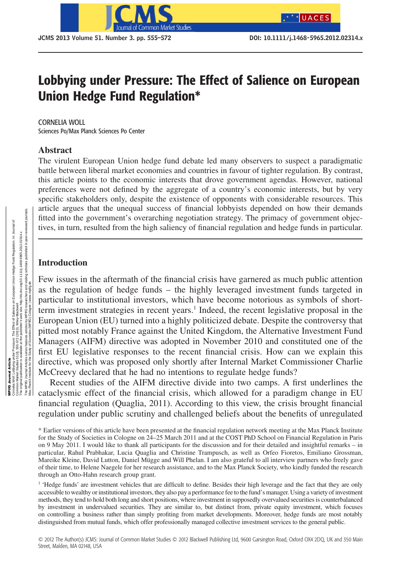

**UACES** 

# **Lobbying under Pressure: The Effect of Salience on European Union Hedge Fund Regulation\***

CORNELIA WOLL

Sciences Po/Max Planck Sciences Po Center

#### **Abstract**

The virulent European Union hedge fund debate led many observers to suspect a paradigmatic battle between liberal market economies and countries in favour of tighter regulation. By contrast, this article points to the economic interests that drove government agendas. However, national preferences were not defined by the aggregate of a country's economic interests, but by very specific stakeholders only, despite the existence of opponents with considerable resources. This article argues that the unequal success of financial lobbyists depended on how their demands fitted into the government's overarching negotiation strategy. The primacy of government objectives, in turn, resulted from the high saliency of financial regulation and hedge funds in particular.

### **Introduction**

Few issues in the aftermath of the financial crisis have garnered as much public attention as the regulation of hedge funds – the highly leveraged investment funds targeted in particular to institutional investors, which have become notorious as symbols of shortterm investment strategies in recent years.<sup>1</sup> Indeed, the recent legislative proposal in the European Union (EU) turned into a highly politicized debate. Despite the controversy that pitted most notably France against the United Kingdom, the Alternative Investment Fund Managers (AIFM) directive was adopted in November 2010 and constituted one of the first EU legislative responses to the recent financial crisis. How can we explain this directive, which was proposed only shortly after Internal Market Commissioner Charlie McCreevy declared that he had no intentions to regulate hedge funds?

Recent studies of the AIFM directive divide into two camps. A first underlines the cataclysmic effect of the financial crisis, which allowed for a paradigm change in EU financial regulation (Quaglia, 2011). According to this view, the crisis brought financial regulation under public scrutiny and challenged beliefs about the benefits of unregulated

The MPIfG Journal Articles series features articles by MPIfG researchers and visiting scholars published in peer-reviewed journals. **ilitiria Journal Article**<br>Commis Molk a Studies 51(5), 5555-72 (2013), Wiley-Blackwell european Union-Hedge Furd Regulation. In: Journal of<br>The original publication is available at the publisher's wite site: http://dx.dol The original publication is available at the publisher's web site: http://dx.doi.org/10.1111/j.1468-5965.2012.02314.x Max Planck Institute for the Study of Societies (MPIfG) Cologne | www.mpifg.deCommon Market Studies 51(3), 555-572 (2013). Wiley-Blackwell

MPIfG Journal Article

Cornelia Woll: Lobbying under Pressure: The Effect of Salience on European Union Hedge Fund Regulation. In: Journal of

© 2012 The Author(s) JCMS: Journal of Common Market Studies © 2012 Blackwell Publishing Ltd, 9600 Garsington Road, Oxford OX4 2DQ, UK and 350 Main Street, Malden, MA 02148, USA

<sup>\*</sup> Earlier versions of this article have been presented at the financial regulation network meeting at the Max Planck Institute for the Study of Societies in Cologne on 24–25 March 2011 and at the COST PhD School on Financial Regulation in Paris on 9 May 2011. I would like to thank all participants for the discussion and for their detailed and insightful remarks – in particular, Rahul Prabhakar, Lucia Quaglia and Christine Trampusch, as well as Orfeo Fioretos, Emiliano Grossman, Mareike Kleine, David Lutton, Daniel Mügge and Will Phelan. I am also grateful to all interview partners who freely gave of their time, to Helene Naegele for her research assistance, and to the Max Planck Society, who kindly funded the research through an Otto-Hahn research group grant.

<sup>&</sup>lt;sup>1</sup> 'Hedge funds' are investment vehicles that are difficult to define. Besides their high leverage and the fact that they are only accessible to wealthy or institutional investors, they also pay a performance fee to the fund's manager. Using a variety of investment methods, they tend to hold both long and short positions, where investment in supposedly overvalued securities is counterbalanced by investment in undervalued securities. They are similar to, but distinct from, private equity investment, which focuses on controlling a business rather than simply profiting from market developments. Moreover, hedge funds are most notably distinguished from mutual funds, which offer professionally managed collective investment services to the general public.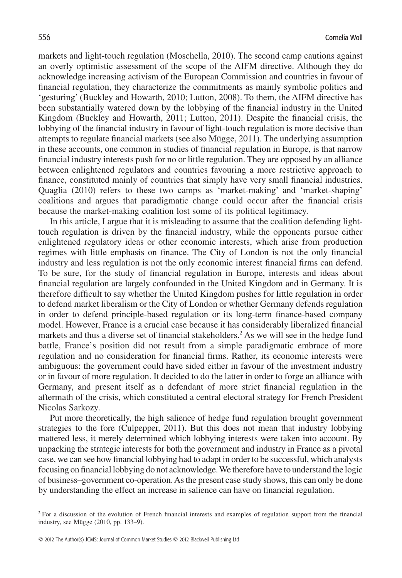markets and light-touch regulation (Moschella, 2010). The second camp cautions against an overly optimistic assessment of the scope of the AIFM directive. Although they do acknowledge increasing activism of the European Commission and countries in favour of financial regulation, they characterize the commitments as mainly symbolic politics and 'gesturing' (Buckley and Howarth, 2010; Lutton, 2008). To them, the AIFM directive has been substantially watered down by the lobbying of the financial industry in the United Kingdom (Buckley and Howarth, 2011; Lutton, 2011). Despite the financial crisis, the lobbying of the financial industry in favour of light-touch regulation is more decisive than attempts to regulate financial markets (see also Mügge, 2011). The underlying assumption in these accounts, one common in studies of financial regulation in Europe, is that narrow financial industry interests push for no or little regulation. They are opposed by an alliance between enlightened regulators and countries favouring a more restrictive approach to finance, constituted mainly of countries that simply have very small financial industries. Quaglia (2010) refers to these two camps as 'market-making' and 'market-shaping' coalitions and argues that paradigmatic change could occur after the financial crisis because the market-making coalition lost some of its political legitimacy.

In this article, I argue that it is misleading to assume that the coalition defending lighttouch regulation is driven by the financial industry, while the opponents pursue either enlightened regulatory ideas or other economic interests, which arise from production regimes with little emphasis on finance. The City of London is not the only financial industry and less regulation is not the only economic interest financial firms can defend. To be sure, for the study of financial regulation in Europe, interests and ideas about financial regulation are largely confounded in the United Kingdom and in Germany. It is therefore difficult to say whether the United Kingdom pushes for little regulation in order to defend market liberalism or the City of London or whether Germany defends regulation in order to defend principle-based regulation or its long-term finance-based company model. However, France is a crucial case because it has considerably liberalized financial markets and thus a diverse set of financial stakeholders.<sup>2</sup> As we will see in the hedge fund battle, France's position did not result from a simple paradigmatic embrace of more regulation and no consideration for financial firms. Rather, its economic interests were ambiguous: the government could have sided either in favour of the investment industry or in favour of more regulation. It decided to do the latter in order to forge an alliance with Germany, and present itself as a defendant of more strict financial regulation in the aftermath of the crisis, which constituted a central electoral strategy for French President Nicolas Sarkozy.

Put more theoretically, the high salience of hedge fund regulation brought government strategies to the fore (Culpepper, 2011). But this does not mean that industry lobbying mattered less, it merely determined which lobbying interests were taken into account. By unpacking the strategic interests for both the government and industry in France as a pivotal case, we can see how financial lobbying had to adapt in order to be successful, which analysts focusing on financial lobbying do not acknowledge.We therefore have to understand the logic of business–government co-operation.As the present case study shows, this can only be done by understanding the effect an increase in salience can have on financial regulation.

<sup>2</sup> For a discussion of the evolution of French financial interests and examples of regulation support from the financial industry, see Mügge (2010, pp. 133–9).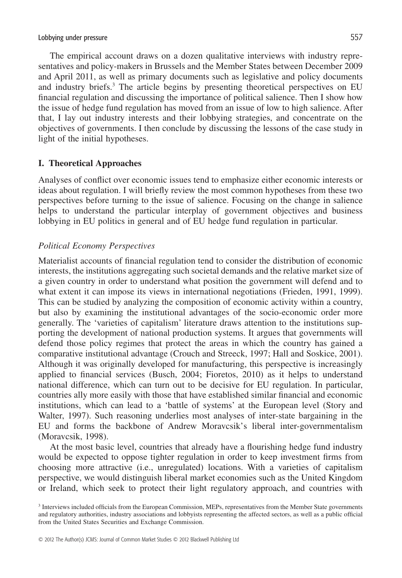The empirical account draws on a dozen qualitative interviews with industry representatives and policy-makers in Brussels and the Member States between December 2009 and April 2011, as well as primary documents such as legislative and policy documents and industry briefs.3 The article begins by presenting theoretical perspectives on EU financial regulation and discussing the importance of political salience. Then I show how the issue of hedge fund regulation has moved from an issue of low to high salience. After that, I lay out industry interests and their lobbying strategies, and concentrate on the objectives of governments. I then conclude by discussing the lessons of the case study in light of the initial hypotheses.

### **I. Theoretical Approaches**

Analyses of conflict over economic issues tend to emphasize either economic interests or ideas about regulation. I will briefly review the most common hypotheses from these two perspectives before turning to the issue of salience. Focusing on the change in salience helps to understand the particular interplay of government objectives and business lobbying in EU politics in general and of EU hedge fund regulation in particular.

# *Political Economy Perspectives*

Materialist accounts of financial regulation tend to consider the distribution of economic interests, the institutions aggregating such societal demands and the relative market size of a given country in order to understand what position the government will defend and to what extent it can impose its views in international negotiations (Frieden, 1991, 1999). This can be studied by analyzing the composition of economic activity within a country, but also by examining the institutional advantages of the socio-economic order more generally. The 'varieties of capitalism' literature draws attention to the institutions supporting the development of national production systems. It argues that governments will defend those policy regimes that protect the areas in which the country has gained a comparative institutional advantage (Crouch and Streeck, 1997; Hall and Soskice, 2001). Although it was originally developed for manufacturing, this perspective is increasingly applied to financial services (Busch, 2004; Fioretos, 2010) as it helps to understand national difference, which can turn out to be decisive for EU regulation. In particular, countries ally more easily with those that have established similar financial and economic institutions, which can lead to a 'battle of systems' at the European level (Story and Walter, 1997). Such reasoning underlies most analyses of inter-state bargaining in the EU and forms the backbone of Andrew Moravcsik's liberal inter-governmentalism (Moravcsik, 1998).

At the most basic level, countries that already have a flourishing hedge fund industry would be expected to oppose tighter regulation in order to keep investment firms from choosing more attractive (i.e., unregulated) locations. With a varieties of capitalism perspective, we would distinguish liberal market economies such as the United Kingdom or Ireland, which seek to protect their light regulatory approach, and countries with

<sup>3</sup> Interviews included officials from the European Commission, MEPs, representatives from the Member State governments and regulatory authorities, industry associations and lobbyists representing the affected sectors, as well as a public official from the United States Securities and Exchange Commission.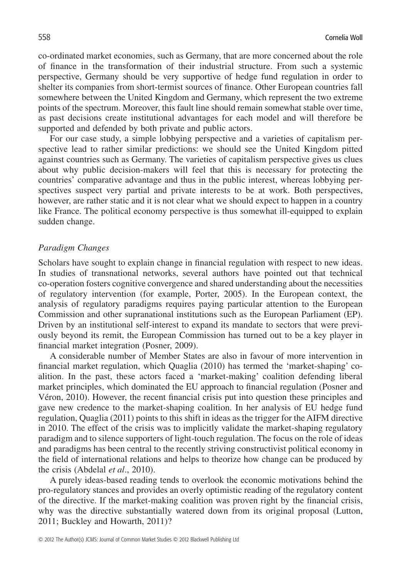co-ordinated market economies, such as Germany, that are more concerned about the role of finance in the transformation of their industrial structure. From such a systemic perspective, Germany should be very supportive of hedge fund regulation in order to shelter its companies from short-termist sources of finance. Other European countries fall somewhere between the United Kingdom and Germany, which represent the two extreme points of the spectrum. Moreover, this fault line should remain somewhat stable over time, as past decisions create institutional advantages for each model and will therefore be supported and defended by both private and public actors.

For our case study, a simple lobbying perspective and a varieties of capitalism perspective lead to rather similar predictions: we should see the United Kingdom pitted against countries such as Germany. The varieties of capitalism perspective gives us clues about why public decision-makers will feel that this is necessary for protecting the countries' comparative advantage and thus in the public interest, whereas lobbying perspectives suspect very partial and private interests to be at work. Both perspectives, however, are rather static and it is not clear what we should expect to happen in a country like France. The political economy perspective is thus somewhat ill-equipped to explain sudden change.

#### *Paradigm Changes*

Scholars have sought to explain change in financial regulation with respect to new ideas. In studies of transnational networks, several authors have pointed out that technical co-operation fosters cognitive convergence and shared understanding about the necessities of regulatory intervention (for example, Porter, 2005). In the European context, the analysis of regulatory paradigms requires paying particular attention to the European Commission and other supranational institutions such as the European Parliament (EP). Driven by an institutional self-interest to expand its mandate to sectors that were previously beyond its remit, the European Commission has turned out to be a key player in financial market integration (Posner, 2009).

A considerable number of Member States are also in favour of more intervention in financial market regulation, which Quaglia (2010) has termed the 'market-shaping' coalition. In the past, these actors faced a 'market-making' coalition defending liberal market principles, which dominated the EU approach to financial regulation (Posner and Véron, 2010). However, the recent financial crisis put into question these principles and gave new credence to the market-shaping coalition. In her analysis of EU hedge fund regulation, Quaglia (2011) points to this shift in ideas as the trigger for the AIFM directive in 2010. The effect of the crisis was to implicitly validate the market-shaping regulatory paradigm and to silence supporters of light-touch regulation. The focus on the role of ideas and paradigms has been central to the recently striving constructivist political economy in the field of international relations and helps to theorize how change can be produced by the crisis (Abdelal *et al*., 2010).

A purely ideas-based reading tends to overlook the economic motivations behind the pro-regulatory stances and provides an overly optimistic reading of the regulatory content of the directive. If the market-making coalition was proven right by the financial crisis, why was the directive substantially watered down from its original proposal (Lutton, 2011; Buckley and Howarth, 2011)?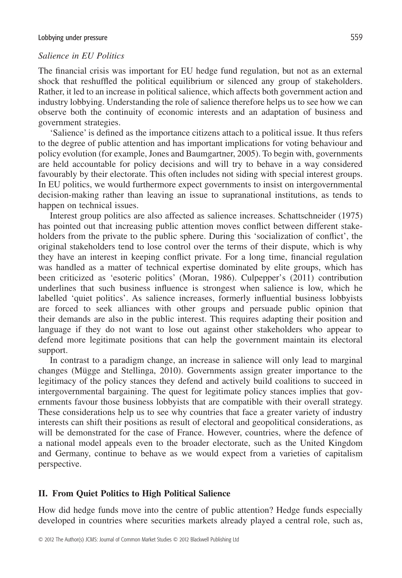### *Salience in EU Politics*

The financial crisis was important for EU hedge fund regulation, but not as an external shock that reshuffled the political equilibrium or silenced any group of stakeholders. Rather, it led to an increase in political salience, which affects both government action and industry lobbying. Understanding the role of salience therefore helps us to see how we can observe both the continuity of economic interests and an adaptation of business and government strategies.

'Salience' is defined as the importance citizens attach to a political issue. It thus refers to the degree of public attention and has important implications for voting behaviour and policy evolution (for example, Jones and Baumgartner, 2005). To begin with, governments are held accountable for policy decisions and will try to behave in a way considered favourably by their electorate. This often includes not siding with special interest groups. In EU politics, we would furthermore expect governments to insist on intergovernmental decision-making rather than leaving an issue to supranational institutions, as tends to happen on technical issues.

Interest group politics are also affected as salience increases. Schattschneider (1975) has pointed out that increasing public attention moves conflict between different stakeholders from the private to the public sphere. During this 'socialization of conflict', the original stakeholders tend to lose control over the terms of their dispute, which is why they have an interest in keeping conflict private. For a long time, financial regulation was handled as a matter of technical expertise dominated by elite groups, which has been criticized as 'esoteric politics' (Moran, 1986). Culpepper's (2011) contribution underlines that such business influence is strongest when salience is low, which he labelled 'quiet politics'. As salience increases, formerly influential business lobbyists are forced to seek alliances with other groups and persuade public opinion that their demands are also in the public interest. This requires adapting their position and language if they do not want to lose out against other stakeholders who appear to defend more legitimate positions that can help the government maintain its electoral support.

In contrast to a paradigm change, an increase in salience will only lead to marginal changes (Mügge and Stellinga, 2010). Governments assign greater importance to the legitimacy of the policy stances they defend and actively build coalitions to succeed in intergovernmental bargaining. The quest for legitimate policy stances implies that governments favour those business lobbyists that are compatible with their overall strategy. These considerations help us to see why countries that face a greater variety of industry interests can shift their positions as result of electoral and geopolitical considerations, as will be demonstrated for the case of France. However, countries, where the defence of a national model appeals even to the broader electorate, such as the United Kingdom and Germany, continue to behave as we would expect from a varieties of capitalism perspective.

# **II. From Quiet Politics to High Political Salience**

How did hedge funds move into the centre of public attention? Hedge funds especially developed in countries where securities markets already played a central role, such as,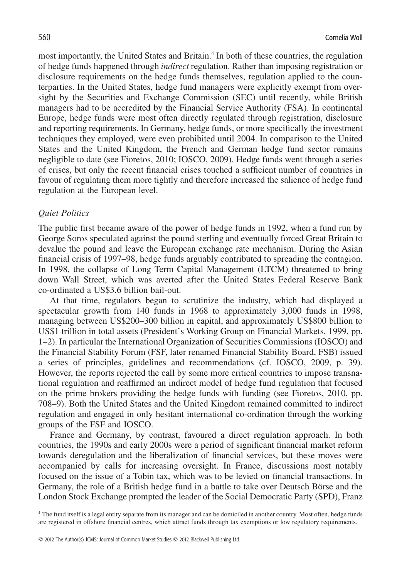most importantly, the United States and Britain.<sup>4</sup> In both of these countries, the regulation of hedge funds happened through *indirect* regulation. Rather than imposing registration or disclosure requirements on the hedge funds themselves, regulation applied to the counterparties. In the United States, hedge fund managers were explicitly exempt from oversight by the Securities and Exchange Commission (SEC) until recently, while British managers had to be accredited by the Financial Service Authority (FSA). In continental Europe, hedge funds were most often directly regulated through registration, disclosure and reporting requirements. In Germany, hedge funds, or more specifically the investment techniques they employed, were even prohibited until 2004. In comparison to the United States and the United Kingdom, the French and German hedge fund sector remains negligible to date (see Fioretos, 2010; IOSCO, 2009). Hedge funds went through a series of crises, but only the recent financial crises touched a sufficient number of countries in favour of regulating them more tightly and therefore increased the salience of hedge fund regulation at the European level.

# *Quiet Politics*

The public first became aware of the power of hedge funds in 1992, when a fund run by George Soros speculated against the pound sterling and eventually forced Great Britain to devalue the pound and leave the European exchange rate mechanism. During the Asian financial crisis of 1997–98, hedge funds arguably contributed to spreading the contagion. In 1998, the collapse of Long Term Capital Management (LTCM) threatened to bring down Wall Street, which was averted after the United States Federal Reserve Bank co-ordinated a US\$3.6 billion bail-out.

At that time, regulators began to scrutinize the industry, which had displayed a spectacular growth from 140 funds in 1968 to approximately 3,000 funds in 1998, managing between US\$200–300 billion in capital, and approximately US\$800 billion to US\$1 trillion in total assets (President's Working Group on Financial Markets, 1999, pp. 1–2). In particular the International Organization of Securities Commissions (IOSCO) and the Financial Stability Forum (FSF, later renamed Financial Stability Board, FSB) issued a series of principles, guidelines and recommendations (cf. IOSCO, 2009, p. 39). However, the reports rejected the call by some more critical countries to impose transnational regulation and reaffirmed an indirect model of hedge fund regulation that focused on the prime brokers providing the hedge funds with funding (see Fioretos, 2010, pp. 708–9). Both the United States and the United Kingdom remained committed to indirect regulation and engaged in only hesitant international co-ordination through the working groups of the FSF and IOSCO.

France and Germany, by contrast, favoured a direct regulation approach. In both countries, the 1990s and early 2000s were a period of significant financial market reform towards deregulation and the liberalization of financial services, but these moves were accompanied by calls for increasing oversight. In France, discussions most notably focused on the issue of a Tobin tax, which was to be levied on financial transactions. In Germany, the role of a British hedge fund in a battle to take over Deutsch Börse and the London Stock Exchange prompted the leader of the Social Democratic Party (SPD), Franz

<sup>4</sup> The fund itself is a legal entity separate from its manager and can be domiciled in another country. Most often, hedge funds are registered in offshore financial centres, which attract funds through tax exemptions or low regulatory requirements.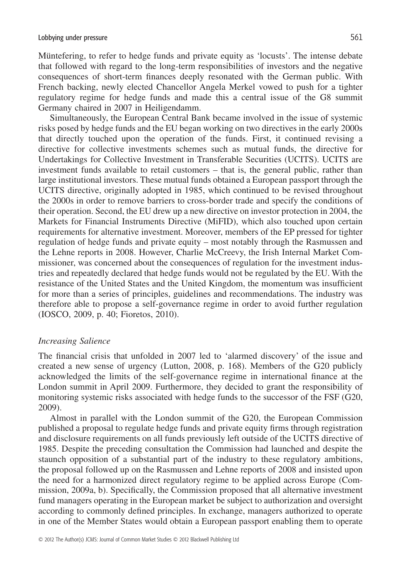Müntefering, to refer to hedge funds and private equity as 'locusts'. The intense debate that followed with regard to the long-term responsibilities of investors and the negative consequences of short-term finances deeply resonated with the German public. With French backing, newly elected Chancellor Angela Merkel vowed to push for a tighter regulatory regime for hedge funds and made this a central issue of the G8 summit Germany chaired in 2007 in Heiligendamm.

Simultaneously, the European Central Bank became involved in the issue of systemic risks posed by hedge funds and the EU began working on two directives in the early 2000s that directly touched upon the operation of the funds. First, it continued revising a directive for collective investments schemes such as mutual funds, the directive for Undertakings for Collective Investment in Transferable Securities (UCITS). UCITS are investment funds available to retail customers – that is, the general public, rather than large institutional investors. These mutual funds obtained a European passport through the UCITS directive, originally adopted in 1985, which continued to be revised throughout the 2000s in order to remove barriers to cross-border trade and specify the conditions of their operation. Second, the EU drew up a new directive on investor protection in 2004, the Markets for Financial Instruments Directive (MiFID), which also touched upon certain requirements for alternative investment. Moreover, members of the EP pressed for tighter regulation of hedge funds and private equity – most notably through the Rasmussen and the Lehne reports in 2008. However, Charlie McCreevy, the Irish Internal Market Commissioner, was concerned about the consequences of regulation for the investment industries and repeatedly declared that hedge funds would not be regulated by the EU. With the resistance of the United States and the United Kingdom, the momentum was insufficient for more than a series of principles, guidelines and recommendations. The industry was therefore able to propose a self-governance regime in order to avoid further regulation (IOSCO, 2009, p. 40; Fioretos, 2010).

### *Increasing Salience*

The financial crisis that unfolded in 2007 led to 'alarmed discovery' of the issue and created a new sense of urgency (Lutton, 2008, p. 168). Members of the G20 publicly acknowledged the limits of the self-governance regime in international finance at the London summit in April 2009. Furthermore, they decided to grant the responsibility of monitoring systemic risks associated with hedge funds to the successor of the FSF (G20, 2009).

Almost in parallel with the London summit of the G20, the European Commission published a proposal to regulate hedge funds and private equity firms through registration and disclosure requirements on all funds previously left outside of the UCITS directive of 1985. Despite the preceding consultation the Commission had launched and despite the staunch opposition of a substantial part of the industry to these regulatory ambitions, the proposal followed up on the Rasmussen and Lehne reports of 2008 and insisted upon the need for a harmonized direct regulatory regime to be applied across Europe (Commission, 2009a, b). Specifically, the Commission proposed that all alternative investment fund managers operating in the European market be subject to authorization and oversight according to commonly defined principles. In exchange, managers authorized to operate in one of the Member States would obtain a European passport enabling them to operate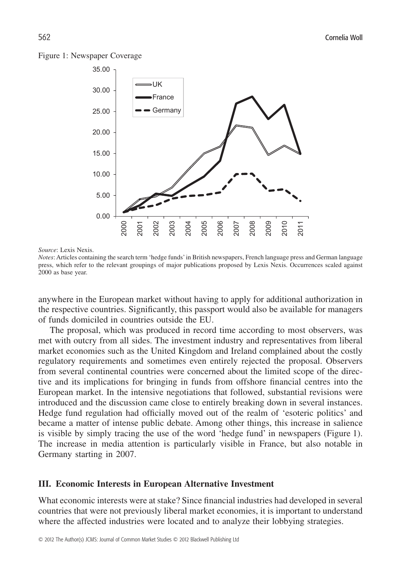#### Figure 1: Newspaper Coverage



*Source*: Lexis Nexis.

*Notes*: Articles containing the search term 'hedge funds'in British newspapers, French language press and German language press, which refer to the relevant groupings of major publications proposed by Lexis Nexis. Occurrences scaled against 2000 as base year.

anywhere in the European market without having to apply for additional authorization in the respective countries. Significantly, this passport would also be available for managers of funds domiciled in countries outside the EU.

The proposal, which was produced in record time according to most observers, was met with outcry from all sides. The investment industry and representatives from liberal market economies such as the United Kingdom and Ireland complained about the costly regulatory requirements and sometimes even entirely rejected the proposal. Observers from several continental countries were concerned about the limited scope of the directive and its implications for bringing in funds from offshore financial centres into the European market. In the intensive negotiations that followed, substantial revisions were introduced and the discussion came close to entirely breaking down in several instances. Hedge fund regulation had officially moved out of the realm of 'esoteric politics' and became a matter of intense public debate. Among other things, this increase in salience is visible by simply tracing the use of the word 'hedge fund' in newspapers (Figure 1). The increase in media attention is particularly visible in France, but also notable in Germany starting in 2007.

# **III. Economic Interests in European Alternative Investment**

What economic interests were at stake? Since financial industries had developed in several countries that were not previously liberal market economies, it is important to understand where the affected industries were located and to analyze their lobbying strategies.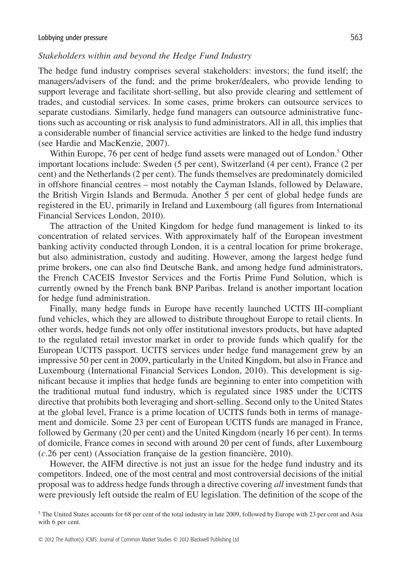#### *Stakeholders within and beyond the Hedge Fund Industry*

The hedge fund industry comprises several stakeholders: investors; the fund itself; the managers/advisers of the fund; and the prime broker/dealers, who provide lending to support leverage and facilitate short-selling, but also provide clearing and settlement of trades, and custodial services. In some cases, prime brokers can outsource services to separate custodians. Similarly, hedge fund managers can outsource administrative functions such as accounting or risk analysis to fund administrators. All in all, this implies that a considerable number of financial service activities are linked to the hedge fund industry (see Hardie and MacKenzie, 2007).

Within Europe, 76 per cent of hedge fund assets were managed out of London.<sup>5</sup> Other important locations include: Sweden (5 per cent), Switzerland (4 per cent), France (2 per cent) and the Netherlands (2 per cent). The funds themselves are predominately domiciled in offshore financial centres – most notably the Cayman Islands, followed by Delaware, the British Virgin Islands and Bermuda. Another 5 per cent of global hedge funds are registered in the EU, primarily in Ireland and Luxembourg (all figures from International Financial Services London, 2010).

The attraction of the United Kingdom for hedge fund management is linked to its concentration of related services. With approximately half of the European investment banking activity conducted through London, it is a central location for prime brokerage, but also administration, custody and auditing. However, among the largest hedge fund prime brokers, one can also find Deutsche Bank, and among hedge fund administrators, the French CACEIS Investor Services and the Fortis Prime Fund Solution, which is currently owned by the French bank BNP Paribas. Ireland is another important location for hedge fund administration.

Finally, many hedge funds in Europe have recently launched UCITS III-compliant fund vehicles, which they are allowed to distribute throughout Europe to retail clients. In other words, hedge funds not only offer institutional investors products, but have adapted to the regulated retail investor market in order to provide funds which qualify for the European UCITS passport. UCITS services under hedge fund management grew by an impressive 50 per cent in 2009, particularly in the United Kingdom, but also in France and Luxembourg (International Financial Services London, 2010). This development is significant because it implies that hedge funds are beginning to enter into competition with the traditional mutual fund industry, which is regulated since 1985 under the UCITS directive that prohibits both leveraging and short-selling. Second only to the United States at the global level, France is a prime location of UCITS funds both in terms of management and domicile. Some 23 per cent of European UCITS funds are managed in France, followed by Germany (20 per cent) and the United Kingdom (nearly 16 per cent). In terms of domicile, France comes in second with around 20 per cent of funds, after Luxembourg (*c*.26 per cent) (Association française de la gestion financière, 2010).

However, the AIFM directive is not just an issue for the hedge fund industry and its competitors. Indeed, one of the most central and most controversial decisions of the initial proposal was to address hedge funds through a directive covering *all* investment funds that were previously left outside the realm of EU legislation. The definition of the scope of the

<sup>&</sup>lt;sup>5</sup> The United States accounts for 68 per cent of the total industry in late 2009, followed by Europe with 23 per cent and Asia with 6 per cent.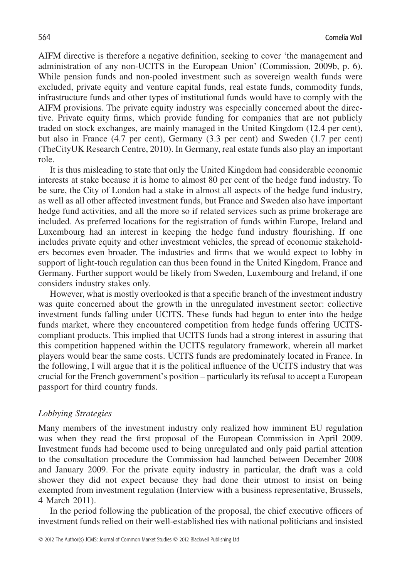AIFM directive is therefore a negative definition, seeking to cover 'the management and administration of any non-UCITS in the European Union' (Commission, 2009b, p. 6). While pension funds and non-pooled investment such as sovereign wealth funds were excluded, private equity and venture capital funds, real estate funds, commodity funds, infrastructure funds and other types of institutional funds would have to comply with the AIFM provisions. The private equity industry was especially concerned about the directive. Private equity firms, which provide funding for companies that are not publicly traded on stock exchanges, are mainly managed in the United Kingdom (12.4 per cent), but also in France (4.7 per cent), Germany (3.3 per cent) and Sweden (1.7 per cent) (TheCityUK Research Centre, 2010). In Germany, real estate funds also play an important role.

It is thus misleading to state that only the United Kingdom had considerable economic interests at stake because it is home to almost 80 per cent of the hedge fund industry. To be sure, the City of London had a stake in almost all aspects of the hedge fund industry, as well as all other affected investment funds, but France and Sweden also have important hedge fund activities, and all the more so if related services such as prime brokerage are included. As preferred locations for the registration of funds within Europe, Ireland and Luxembourg had an interest in keeping the hedge fund industry flourishing. If one includes private equity and other investment vehicles, the spread of economic stakeholders becomes even broader. The industries and firms that we would expect to lobby in support of light-touch regulation can thus been found in the United Kingdom, France and Germany. Further support would be likely from Sweden, Luxembourg and Ireland, if one considers industry stakes only.

However, what is mostly overlooked is that a specific branch of the investment industry was quite concerned about the growth in the unregulated investment sector: collective investment funds falling under UCITS. These funds had begun to enter into the hedge funds market, where they encountered competition from hedge funds offering UCITScompliant products. This implied that UCITS funds had a strong interest in assuring that this competition happened within the UCITS regulatory framework, wherein all market players would bear the same costs. UCITS funds are predominately located in France. In the following, I will argue that it is the political influence of the UCITS industry that was crucial for the French government's position – particularly its refusal to accept a European passport for third country funds.

#### *Lobbying Strategies*

Many members of the investment industry only realized how imminent EU regulation was when they read the first proposal of the European Commission in April 2009. Investment funds had become used to being unregulated and only paid partial attention to the consultation procedure the Commission had launched between December 2008 and January 2009. For the private equity industry in particular, the draft was a cold shower they did not expect because they had done their utmost to insist on being exempted from investment regulation (Interview with a business representative, Brussels, 4 March 2011).

In the period following the publication of the proposal, the chief executive officers of investment funds relied on their well-established ties with national politicians and insisted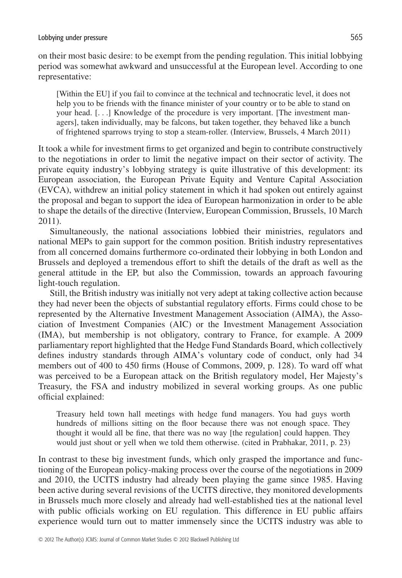on their most basic desire: to be exempt from the pending regulation. This initial lobbying period was somewhat awkward and unsuccessful at the European level. According to one representative:

[Within the EU] if you fail to convince at the technical and technocratic level, it does not help you to be friends with the finance minister of your country or to be able to stand on your head. [. . .] Knowledge of the procedure is very important. [The investment managers], taken individually, may be falcons, but taken together, they behaved like a bunch of frightened sparrows trying to stop a steam-roller. (Interview, Brussels, 4 March 2011)

It took a while for investment firms to get organized and begin to contribute constructively to the negotiations in order to limit the negative impact on their sector of activity. The private equity industry's lobbying strategy is quite illustrative of this development: its European association, the European Private Equity and Venture Capital Association (EVCA), withdrew an initial policy statement in which it had spoken out entirely against the proposal and began to support the idea of European harmonization in order to be able to shape the details of the directive (Interview, European Commission, Brussels, 10 March 2011).

Simultaneously, the national associations lobbied their ministries, regulators and national MEPs to gain support for the common position. British industry representatives from all concerned domains furthermore co-ordinated their lobbying in both London and Brussels and deployed a tremendous effort to shift the details of the draft as well as the general attitude in the EP, but also the Commission, towards an approach favouring light-touch regulation.

Still, the British industry was initially not very adept at taking collective action because they had never been the objects of substantial regulatory efforts. Firms could chose to be represented by the Alternative Investment Management Association (AIMA), the Association of Investment Companies (AIC) or the Investment Management Association (IMA), but membership is not obligatory, contrary to France, for example. A 2009 parliamentary report highlighted that the Hedge Fund Standards Board, which collectively defines industry standards through AIMA's voluntary code of conduct, only had 34 members out of 400 to 450 firms (House of Commons, 2009, p. 128). To ward off what was perceived to be a European attack on the British regulatory model, Her Majesty's Treasury, the FSA and industry mobilized in several working groups. As one public official explained:

Treasury held town hall meetings with hedge fund managers. You had guys worth hundreds of millions sitting on the floor because there was not enough space. They thought it would all be fine, that there was no way [the regulation] could happen. They would just shout or yell when we told them otherwise. (cited in Prabhakar, 2011, p. 23)

In contrast to these big investment funds, which only grasped the importance and functioning of the European policy-making process over the course of the negotiations in 2009 and 2010, the UCITS industry had already been playing the game since 1985. Having been active during several revisions of the UCITS directive, they monitored developments in Brussels much more closely and already had well-established ties at the national level with public officials working on EU regulation. This difference in EU public affairs experience would turn out to matter immensely since the UCITS industry was able to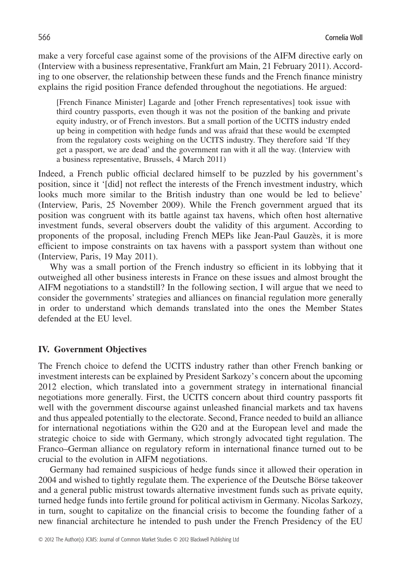make a very forceful case against some of the provisions of the AIFM directive early on (Interview with a business representative, Frankfurt am Main, 21 February 2011). According to one observer, the relationship between these funds and the French finance ministry explains the rigid position France defended throughout the negotiations. He argued:

[French Finance Minister] Lagarde and [other French representatives] took issue with third country passports, even though it was not the position of the banking and private equity industry, or of French investors. But a small portion of the UCITS industry ended up being in competition with hedge funds and was afraid that these would be exempted from the regulatory costs weighing on the UCITS industry. They therefore said 'If they get a passport, we are dead' and the government ran with it all the way. (Interview with a business representative, Brussels, 4 March 2011)

Indeed, a French public official declared himself to be puzzled by his government's position, since it '[did] not reflect the interests of the French investment industry, which looks much more similar to the British industry than one would be led to believe' (Interview, Paris, 25 November 2009). While the French government argued that its position was congruent with its battle against tax havens, which often host alternative investment funds, several observers doubt the validity of this argument. According to proponents of the proposal, including French MEPs like Jean-Paul Gauzès, it is more efficient to impose constraints on tax havens with a passport system than without one (Interview, Paris, 19 May 2011).

Why was a small portion of the French industry so efficient in its lobbying that it outweighed all other business interests in France on these issues and almost brought the AIFM negotiations to a standstill? In the following section, I will argue that we need to consider the governments' strategies and alliances on financial regulation more generally in order to understand which demands translated into the ones the Member States defended at the EU level.

# **IV. Government Objectives**

The French choice to defend the UCITS industry rather than other French banking or investment interests can be explained by President Sarkozy's concern about the upcoming 2012 election, which translated into a government strategy in international financial negotiations more generally. First, the UCITS concern about third country passports fit well with the government discourse against unleashed financial markets and tax havens and thus appealed potentially to the electorate. Second, France needed to build an alliance for international negotiations within the G20 and at the European level and made the strategic choice to side with Germany, which strongly advocated tight regulation. The Franco–German alliance on regulatory reform in international finance turned out to be crucial to the evolution in AIFM negotiations.

Germany had remained suspicious of hedge funds since it allowed their operation in 2004 and wished to tightly regulate them. The experience of the Deutsche Börse takeover and a general public mistrust towards alternative investment funds such as private equity, turned hedge funds into fertile ground for political activism in Germany. Nicolas Sarkozy, in turn, sought to capitalize on the financial crisis to become the founding father of a new financial architecture he intended to push under the French Presidency of the EU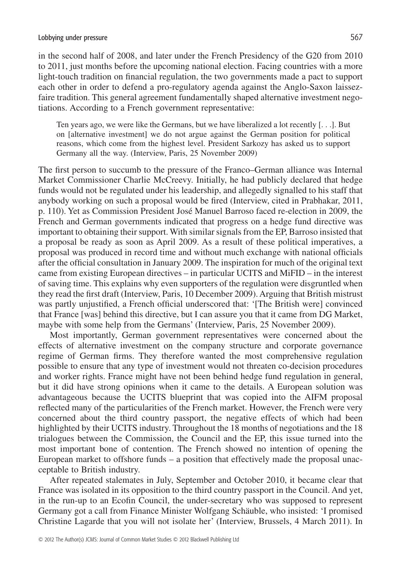in the second half of 2008, and later under the French Presidency of the G20 from 2010 to 2011, just months before the upcoming national election. Facing countries with a more light-touch tradition on financial regulation, the two governments made a pact to support each other in order to defend a pro-regulatory agenda against the Anglo-Saxon laissezfaire tradition. This general agreement fundamentally shaped alternative investment negotiations. According to a French government representative:

Ten years ago, we were like the Germans, but we have liberalized a lot recently [. . .]. But on [alternative investment] we do not argue against the German position for political reasons, which come from the highest level. President Sarkozy has asked us to support Germany all the way. (Interview, Paris, 25 November 2009)

The first person to succumb to the pressure of the Franco–German alliance was Internal Market Commissioner Charlie McCreevy. Initially, he had publicly declared that hedge funds would not be regulated under his leadership, and allegedly signalled to his staff that anybody working on such a proposal would be fired (Interview, cited in Prabhakar, 2011, p. 110). Yet as Commission President José Manuel Barroso faced re-election in 2009, the French and German governments indicated that progress on a hedge fund directive was important to obtaining their support. With similar signals from the EP, Barroso insisted that a proposal be ready as soon as April 2009. As a result of these political imperatives, a proposal was produced in record time and without much exchange with national officials after the official consultation in January 2009. The inspiration for much of the original text came from existing European directives – in particular UCITS and MiFID – in the interest of saving time. This explains why even supporters of the regulation were disgruntled when they read the first draft (Interview, Paris, 10 December 2009). Arguing that British mistrust was partly unjustified, a French official underscored that: '[The British were] convinced that France [was] behind this directive, but I can assure you that it came from DG Market, maybe with some help from the Germans' (Interview, Paris, 25 November 2009).

Most importantly, German government representatives were concerned about the effects of alternative investment on the company structure and corporate governance regime of German firms. They therefore wanted the most comprehensive regulation possible to ensure that any type of investment would not threaten co-decision procedures and worker rights. France might have not been behind hedge fund regulation in general, but it did have strong opinions when it came to the details. A European solution was advantageous because the UCITS blueprint that was copied into the AIFM proposal reflected many of the particularities of the French market. However, the French were very concerned about the third country passport, the negative effects of which had been highlighted by their UCITS industry. Throughout the 18 months of negotiations and the 18 trialogues between the Commission, the Council and the EP, this issue turned into the most important bone of contention. The French showed no intention of opening the European market to offshore funds – a position that effectively made the proposal unacceptable to British industry.

After repeated stalemates in July, September and October 2010, it became clear that France was isolated in its opposition to the third country passport in the Council. And yet, in the run-up to an Ecofin Council, the under-secretary who was supposed to represent Germany got a call from Finance Minister Wolfgang Schäuble, who insisted: 'I promised Christine Lagarde that you will not isolate her' (Interview, Brussels, 4 March 2011). In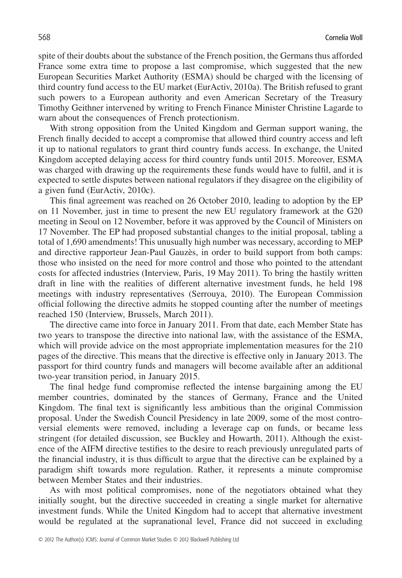spite of their doubts about the substance of the French position, the Germans thus afforded France some extra time to propose a last compromise, which suggested that the new European Securities Market Authority (ESMA) should be charged with the licensing of third country fund access to the EU market (EurActiv, 2010a). The British refused to grant such powers to a European authority and even American Secretary of the Treasury Timothy Geithner intervened by writing to French Finance Minister Christine Lagarde to warn about the consequences of French protectionism.

With strong opposition from the United Kingdom and German support waning, the French finally decided to accept a compromise that allowed third country access and left it up to national regulators to grant third country funds access. In exchange, the United Kingdom accepted delaying access for third country funds until 2015. Moreover, ESMA was charged with drawing up the requirements these funds would have to fulfil, and it is expected to settle disputes between national regulators if they disagree on the eligibility of a given fund (EurActiv, 2010c).

This final agreement was reached on 26 October 2010, leading to adoption by the EP on 11 November, just in time to present the new EU regulatory framework at the G20 meeting in Seoul on 12 November, before it was approved by the Council of Ministers on 17 November. The EP had proposed substantial changes to the initial proposal, tabling a total of 1,690 amendments! This unusually high number was necessary, according to MEP and directive rapporteur Jean-Paul Gauzès, in order to build support from both camps: those who insisted on the need for more control and those who pointed to the attendant costs for affected industries (Interview, Paris, 19 May 2011). To bring the hastily written draft in line with the realities of different alternative investment funds, he held 198 meetings with industry representatives (Serrouya, 2010). The European Commission official following the directive admits he stopped counting after the number of meetings reached 150 (Interview, Brussels, March 2011).

The directive came into force in January 2011. From that date, each Member State has two years to transpose the directive into national law, with the assistance of the ESMA, which will provide advice on the most appropriate implementation measures for the 210 pages of the directive. This means that the directive is effective only in January 2013. The passport for third country funds and managers will become available after an additional two-year transition period, in January 2015.

The final hedge fund compromise reflected the intense bargaining among the EU member countries, dominated by the stances of Germany, France and the United Kingdom. The final text is significantly less ambitious than the original Commission proposal. Under the Swedish Council Presidency in late 2009, some of the most controversial elements were removed, including a leverage cap on funds, or became less stringent (for detailed discussion, see Buckley and Howarth, 2011). Although the existence of the AIFM directive testifies to the desire to reach previously unregulated parts of the financial industry, it is thus difficult to argue that the directive can be explained by a paradigm shift towards more regulation. Rather, it represents a minute compromise between Member States and their industries.

As with most political compromises, none of the negotiators obtained what they initially sought, but the directive succeeded in creating a single market for alternative investment funds. While the United Kingdom had to accept that alternative investment would be regulated at the supranational level, France did not succeed in excluding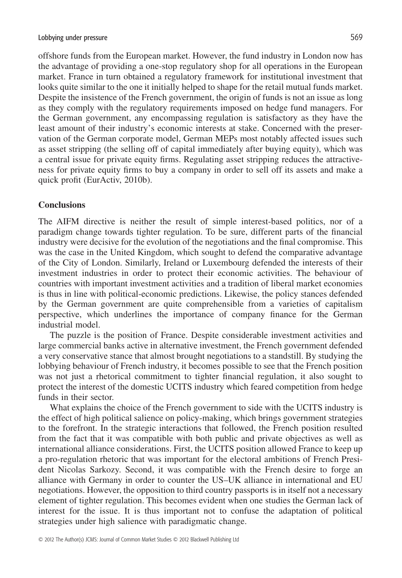offshore funds from the European market. However, the fund industry in London now has the advantage of providing a one-stop regulatory shop for all operations in the European market. France in turn obtained a regulatory framework for institutional investment that looks quite similar to the one it initially helped to shape for the retail mutual funds market. Despite the insistence of the French government, the origin of funds is not an issue as long as they comply with the regulatory requirements imposed on hedge fund managers. For the German government, any encompassing regulation is satisfactory as they have the least amount of their industry's economic interests at stake. Concerned with the preservation of the German corporate model, German MEPs most notably affected issues such as asset stripping (the selling off of capital immediately after buying equity), which was a central issue for private equity firms. Regulating asset stripping reduces the attractiveness for private equity firms to buy a company in order to sell off its assets and make a quick profit (EurActiv, 2010b).

# **Conclusions**

The AIFM directive is neither the result of simple interest-based politics, nor of a paradigm change towards tighter regulation. To be sure, different parts of the financial industry were decisive for the evolution of the negotiations and the final compromise. This was the case in the United Kingdom, which sought to defend the comparative advantage of the City of London. Similarly, Ireland or Luxembourg defended the interests of their investment industries in order to protect their economic activities. The behaviour of countries with important investment activities and a tradition of liberal market economies is thus in line with political-economic predictions. Likewise, the policy stances defended by the German government are quite comprehensible from a varieties of capitalism perspective, which underlines the importance of company finance for the German industrial model.

The puzzle is the position of France. Despite considerable investment activities and large commercial banks active in alternative investment, the French government defended a very conservative stance that almost brought negotiations to a standstill. By studying the lobbying behaviour of French industry, it becomes possible to see that the French position was not just a rhetorical commitment to tighter financial regulation, it also sought to protect the interest of the domestic UCITS industry which feared competition from hedge funds in their sector.

What explains the choice of the French government to side with the UCITS industry is the effect of high political salience on policy-making, which brings government strategies to the forefront. In the strategic interactions that followed, the French position resulted from the fact that it was compatible with both public and private objectives as well as international alliance considerations. First, the UCITS position allowed France to keep up a pro-regulation rhetoric that was important for the electoral ambitions of French President Nicolas Sarkozy. Second, it was compatible with the French desire to forge an alliance with Germany in order to counter the US–UK alliance in international and EU negotiations. However, the opposition to third country passports is in itself not a necessary element of tighter regulation. This becomes evident when one studies the German lack of interest for the issue. It is thus important not to confuse the adaptation of political strategies under high salience with paradigmatic change.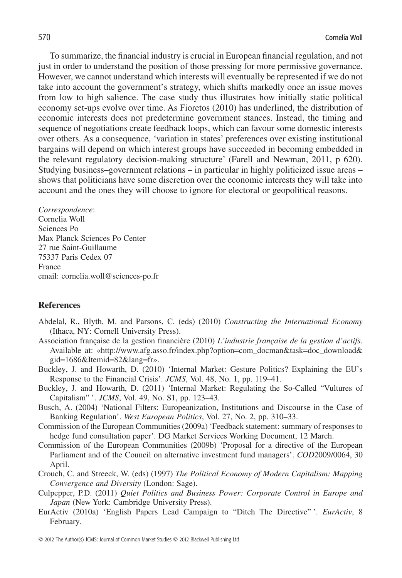To summarize, the financial industry is crucial in European financial regulation, and not just in order to understand the position of those pressing for more permissive governance. However, we cannot understand which interests will eventually be represented if we do not take into account the government's strategy, which shifts markedly once an issue moves from low to high salience. The case study thus illustrates how initially static political economy set-ups evolve over time. As Fioretos (2010) has underlined, the distribution of economic interests does not predetermine government stances. Instead, the timing and sequence of negotiations create feedback loops, which can favour some domestic interests over others. As a consequence, 'variation in states' preferences over existing institutional bargains will depend on which interest groups have succeeded in becoming embedded in the relevant regulatory decision-making structure' (Farell and Newman, 2011, p 620). Studying business–government relations – in particular in highly politicized issue areas – shows that politicians have some discretion over the economic interests they will take into account and the ones they will choose to ignore for electoral or geopolitical reasons.

*Correspondence*: Cornelia Woll Sciences Po Max Planck Sciences Po Center 27 rue Saint-Guillaume 75337 Paris Cedex 07 France email: cornelia.woll@sciences-po.fr

### **References**

- Abdelal, R., Blyth, M. and Parsons, C. (eds) (2010) *Constructing the International Economy* (Ithaca, NY: Cornell University Press).
- Association française de la gestion financière (2010) *L'industrie française de la gestion d'actifs*. Available at: «http://www.afg.asso.fr/index.php?option=com\_docman&task=doc\_download& gid=1686&Itemid=82&lang=fr».
- Buckley, J. and Howarth, D. (2010) 'Internal Market: Gesture Politics? Explaining the EU's Response to the Financial Crisis'. *JCMS*, Vol. 48, No. 1, pp. 119–41.
- Buckley, J. and Howarth, D. (2011) 'Internal Market: Regulating the So-Called "Vultures of Capitalism" '. *JCMS*, Vol. 49, No. S1, pp. 123–43.
- Busch, A. (2004) 'National Filters: Europeanization, Institutions and Discourse in the Case of Banking Regulation'. *West European Politics*, Vol. 27, No. 2, pp. 310–33.
- Commission of the European Communities (2009a) 'Feedback statement: summary of responses to hedge fund consultation paper'. DG Market Services Working Document, 12 March.
- Commission of the European Communities (2009b) 'Proposal for a directive of the European Parliament and of the Council on alternative investment fund managers'. *COD*2009/0064, 30 April.
- Crouch, C. and Streeck, W. (eds) (1997) *The Political Economy of Modern Capitalism: Mapping Convergence and Diversity* (London: Sage).
- Culpepper, P.D. (2011) *Quiet Politics and Business Power: Corporate Control in Europe and Japan* (New York: Cambridge University Press).
- EurActiv (2010a) 'English Papers Lead Campaign to "Ditch The Directive" '. *EurActiv*, 8 February.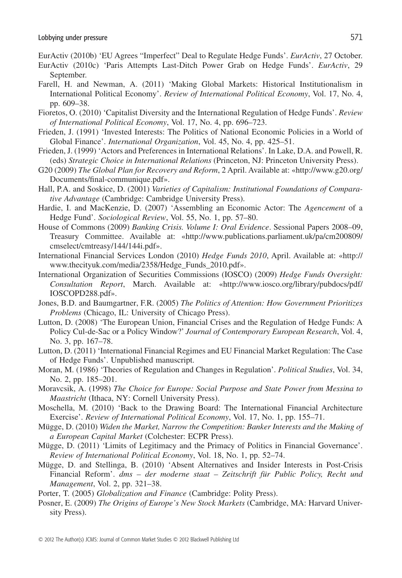- EurActiv (2010b) 'EU Agrees "Imperfect" Deal to Regulate Hedge Funds'. *EurActiv*, 27 October.
- EurActiv (2010c) 'Paris Attempts Last-Ditch Power Grab on Hedge Funds'. *EurActiv*, 29 September.
- Farell, H. and Newman, A. (2011) 'Making Global Markets: Historical Institutionalism in International Political Economy'. *Review of International Political Economy*, Vol. 17, No. 4, pp. 609–38.
- Fioretos, O. (2010) 'Capitalist Diversity and the International Regulation of Hedge Funds'. *Review of International Political Economy*, Vol. 17, No. 4, pp. 696–723.
- Frieden, J. (1991) 'Invested Interests: The Politics of National Economic Policies in a World of Global Finance'. *International Organization*, Vol. 45, No. 4, pp. 425–51.
- Frieden, J. (1999) 'Actors and Preferences in International Relations'. In Lake, D.A. and Powell, R. (eds) *Strategic Choice in International Relations* (Princeton, NJ: Princeton University Press).
- G20 (2009) *The Global Plan for Recovery and Reform*, 2 April. Available at: «http://www.g20.org/ Documents/final-communique.pdf».
- Hall, P.A. and Soskice, D. (2001) *Varieties of Capitalism: Institutional Foundations of Comparative Advantage* (Cambridge: Cambridge University Press).
- Hardie, I. and MacKenzie, D. (2007) 'Assembling an Economic Actor: The *Agencement* of a Hedge Fund'. *Sociological Review*, Vol. 55, No. 1, pp. 57–80.
- House of Commons (2009) *Banking Crisis. Volume I: Oral Evidence*. Sessional Papers 2008–09, Treasury Committee. Available at: «http://www.publications.parliament.uk/pa/cm200809/ cmselect/cmtreasy/144/144i.pdf».
- International Financial Services London (2010) *Hedge Funds 2010*, April. Available at: «http:// www.thecityuk.com/media/2358/Hedge\_Funds\_2010.pdf».
- International Organization of Securities Commissions (IOSCO) (2009) *Hedge Funds Oversight: Consultation Report*, March. Available at: «http://www.iosco.org/library/pubdocs/pdf/ IOSCOPD288.pdf».
- Jones, B.D. and Baumgartner, F.R. (2005) *The Politics of Attention: How Government Prioritizes Problems* (Chicago, IL: University of Chicago Press).
- Lutton, D. (2008) 'The European Union, Financial Crises and the Regulation of Hedge Funds: A Policy Cul-de-Sac or a Policy Window?' *Journal of Contemporary European Research*, Vol. 4, No. 3, pp. 167–78.
- Lutton, D. (2011) 'International Financial Regimes and EU Financial Market Regulation: The Case of Hedge Funds'. Unpublished manuscript.
- Moran, M. (1986) 'Theories of Regulation and Changes in Regulation'. *Political Studies*, Vol. 34, No. 2, pp. 185–201.
- Moravcsik, A. (1998) *The Choice for Europe: Social Purpose and State Power from Messina to Maastricht* (Ithaca, NY: Cornell University Press).
- Moschella, M. (2010) 'Back to the Drawing Board: The International Financial Architecture Exercise'. *Review of International Political Economy*, Vol. 17, No. 1, pp. 155–71.
- Mügge, D. (2010) *Widen the Market, Narrow the Competition: Banker Interests and the Making of a European Capital Market* (Colchester: ECPR Press).
- Mügge, D. (2011) 'Limits of Legitimacy and the Primacy of Politics in Financial Governance'. *Review of International Political Economy*, Vol. 18, No. 1, pp. 52–74.
- Mügge, D. and Stellinga, B. (2010) 'Absent Alternatives and Insider Interests in Post-Crisis Financial Reform'. *dms – der moderne staat – Zeitschrift für Public Policy, Recht und Management*, Vol. 2, pp. 321–38.
- Porter, T. (2005) *Globalization and Finance* (Cambridge: Polity Press).
- Posner, E. (2009) *The Origins of Europe's New Stock Markets* (Cambridge, MA: Harvard University Press).

© 2012 The Author(s) JCMS: Journal of Common Market Studies © 2012 Blackwell Publishing Ltd